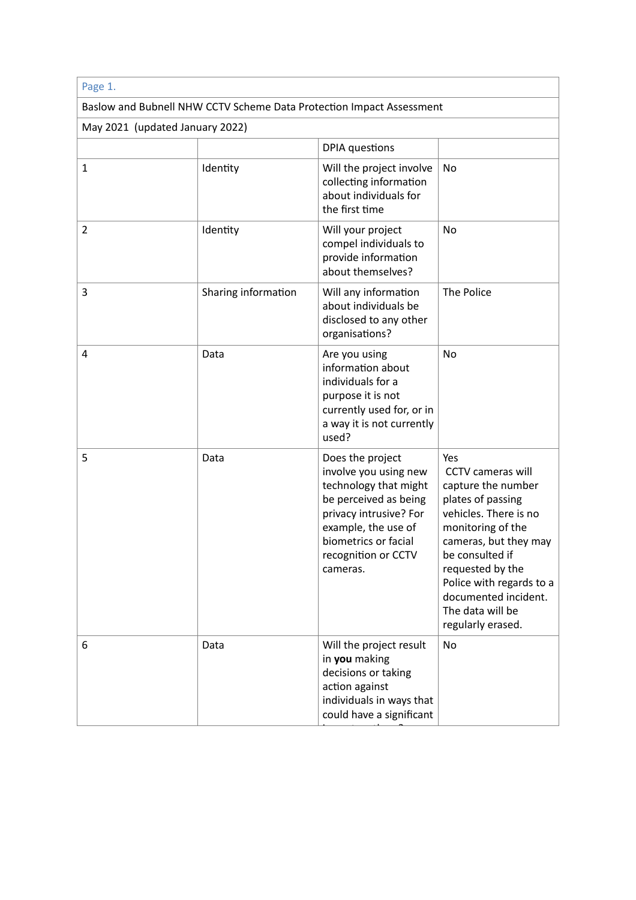| Page 1.                                                              |                     |                                                                                                                                                                                                         |                                                                                                                                                                                                                                                                                       |  |  |
|----------------------------------------------------------------------|---------------------|---------------------------------------------------------------------------------------------------------------------------------------------------------------------------------------------------------|---------------------------------------------------------------------------------------------------------------------------------------------------------------------------------------------------------------------------------------------------------------------------------------|--|--|
| Baslow and Bubnell NHW CCTV Scheme Data Protection Impact Assessment |                     |                                                                                                                                                                                                         |                                                                                                                                                                                                                                                                                       |  |  |
| May 2021 (updated January 2022)                                      |                     |                                                                                                                                                                                                         |                                                                                                                                                                                                                                                                                       |  |  |
|                                                                      |                     | <b>DPIA</b> questions                                                                                                                                                                                   |                                                                                                                                                                                                                                                                                       |  |  |
| 1                                                                    | Identity            | Will the project involve<br>collecting information<br>about individuals for<br>the first time                                                                                                           | No                                                                                                                                                                                                                                                                                    |  |  |
| $\overline{2}$                                                       | Identity            | Will your project<br>compel individuals to<br>provide information<br>about themselves?                                                                                                                  | No                                                                                                                                                                                                                                                                                    |  |  |
| 3                                                                    | Sharing information | Will any information<br>about individuals be<br>disclosed to any other<br>organisations?                                                                                                                | The Police                                                                                                                                                                                                                                                                            |  |  |
| 4                                                                    | Data                | Are you using<br>information about<br>individuals for a<br>purpose it is not<br>currently used for, or in<br>a way it is not currently<br>used?                                                         | No                                                                                                                                                                                                                                                                                    |  |  |
| 5                                                                    | Data                | Does the project<br>involve you using new<br>technology that might<br>be perceived as being<br>privacy intrusive? For<br>example, the use of<br>biometrics or facial<br>recognition or CCTV<br>cameras. | Yes<br><b>CCTV</b> cameras will<br>capture the number<br>plates of passing<br>vehicles. There is no<br>monitoring of the<br>cameras, but they may<br>be consulted if<br>requested by the<br>Police with regards to a<br>documented incident.<br>The data will be<br>regularly erased. |  |  |
| 6                                                                    | Data                | Will the project result<br>in you making<br>decisions or taking<br>action against<br>individuals in ways that<br>could have a significant                                                               | No                                                                                                                                                                                                                                                                                    |  |  |

impact on them?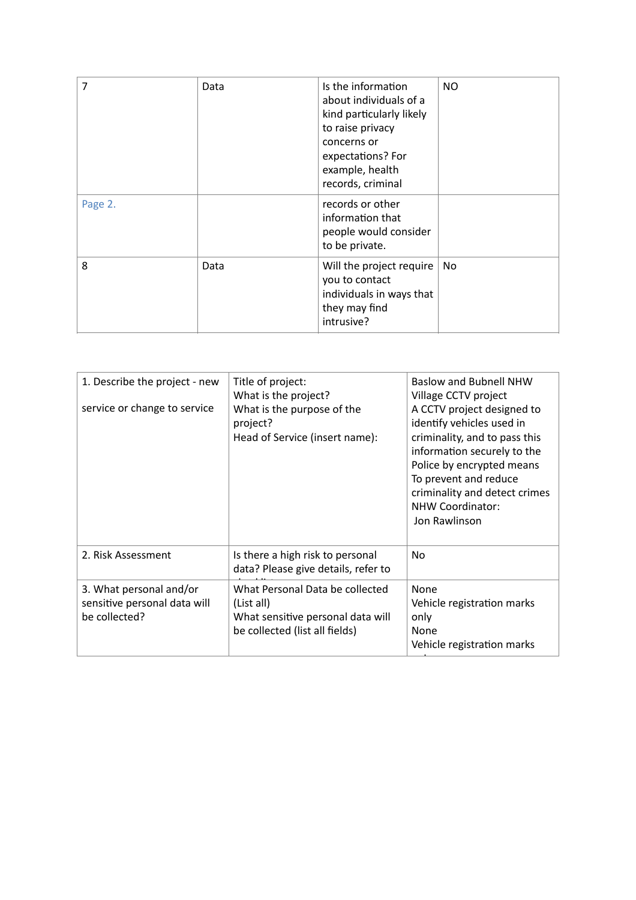| 7       | Data | Is the information<br>about individuals of a<br>kind particularly likely<br>to raise privacy<br>concerns or<br>expectations? For<br>example, health<br>records, criminal | <b>NO</b> |
|---------|------|--------------------------------------------------------------------------------------------------------------------------------------------------------------------------|-----------|
| Page 2. |      | records or other<br>information that<br>people would consider<br>to be private.                                                                                          |           |
| 8       | Data | Will the project require<br>you to contact<br>individuals in ways that<br>they may find<br>intrusive?                                                                    | No.       |

| 1. Describe the project - new<br>service or change to service            | Title of project:<br>What is the project?<br>What is the purpose of the<br>project?<br>Head of Service (insert name): | Baslow and Bubnell NHW<br>Village CCTV project<br>A CCTV project designed to<br>identify vehicles used in<br>criminality, and to pass this<br>information securely to the<br>Police by encrypted means<br>To prevent and reduce<br>criminality and detect crimes<br>NHW Coordinator:<br>Jon Rawlinson |
|--------------------------------------------------------------------------|-----------------------------------------------------------------------------------------------------------------------|-------------------------------------------------------------------------------------------------------------------------------------------------------------------------------------------------------------------------------------------------------------------------------------------------------|
| 2. Risk Assessment                                                       | Is there a high risk to personal<br>data? Please give details, refer to                                               | No                                                                                                                                                                                                                                                                                                    |
| 3. What personal and/or<br>sensitive personal data will<br>be collected? | What Personal Data be collected<br>(List all)<br>What sensitive personal data will<br>be collected (list all fields)  | None<br>Vehicle registration marks<br>only<br>None<br>Vehicle registration marks                                                                                                                                                                                                                      |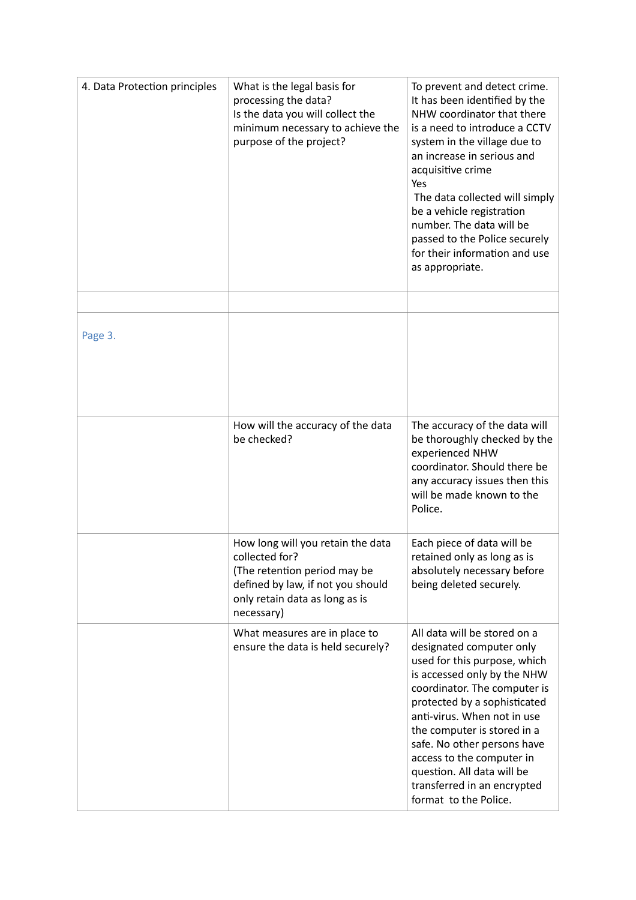| 4. Data Protection principles | What is the legal basis for<br>processing the data?<br>Is the data you will collect the<br>minimum necessary to achieve the<br>purpose of the project?                   | To prevent and detect crime.<br>It has been identified by the<br>NHW coordinator that there<br>is a need to introduce a CCTV<br>system in the village due to<br>an increase in serious and<br>acquisitive crime<br>Yes<br>The data collected will simply<br>be a vehicle registration<br>number. The data will be<br>passed to the Police securely<br>for their information and use<br>as appropriate.  |
|-------------------------------|--------------------------------------------------------------------------------------------------------------------------------------------------------------------------|---------------------------------------------------------------------------------------------------------------------------------------------------------------------------------------------------------------------------------------------------------------------------------------------------------------------------------------------------------------------------------------------------------|
|                               |                                                                                                                                                                          |                                                                                                                                                                                                                                                                                                                                                                                                         |
| Page 3.                       |                                                                                                                                                                          |                                                                                                                                                                                                                                                                                                                                                                                                         |
|                               | How will the accuracy of the data<br>be checked?                                                                                                                         | The accuracy of the data will<br>be thoroughly checked by the<br>experienced NHW<br>coordinator. Should there be<br>any accuracy issues then this<br>will be made known to the<br>Police.                                                                                                                                                                                                               |
|                               | How long will you retain the data<br>collected for?<br>(The retention period may be<br>defined by law, if not you should<br>only retain data as long as is<br>necessary) | Each piece of data will be<br>retained only as long as is<br>absolutely necessary before<br>being deleted securely.                                                                                                                                                                                                                                                                                     |
|                               | What measures are in place to<br>ensure the data is held securely?                                                                                                       | All data will be stored on a<br>designated computer only<br>used for this purpose, which<br>is accessed only by the NHW<br>coordinator. The computer is<br>protected by a sophisticated<br>anti-virus. When not in use<br>the computer is stored in a<br>safe. No other persons have<br>access to the computer in<br>question. All data will be<br>transferred in an encrypted<br>format to the Police. |